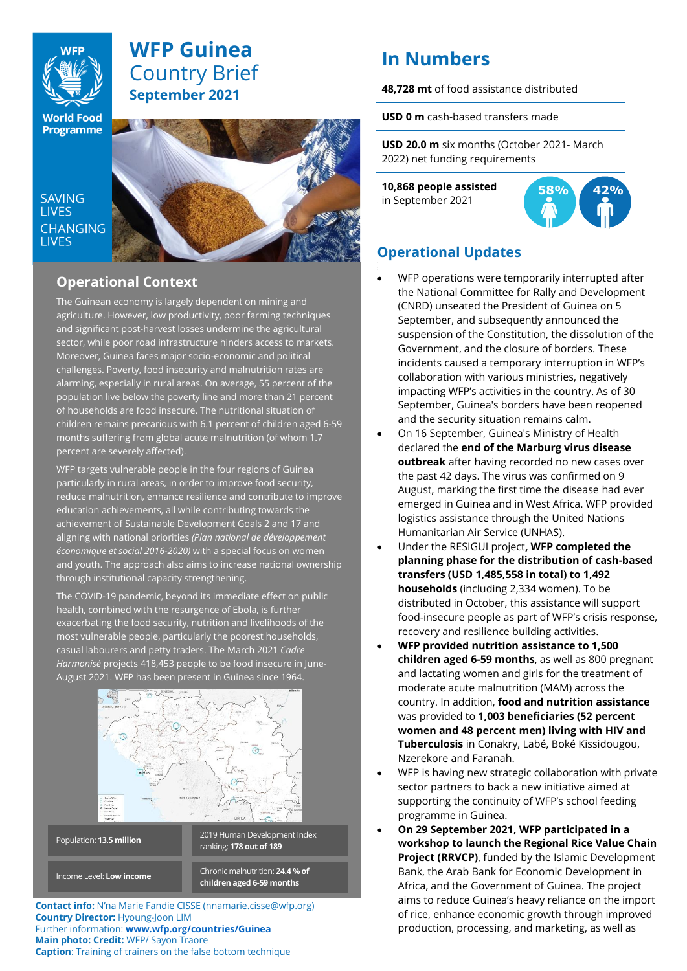

# **WFP Guinea** Country Brief **September 2021**

**World Food Programme** 

SAVING **TIVES CHANGING I IVES** 



## **Operational Context**

The Guinean economy is largely dependent on mining and agriculture. However, low productivity, poor farming techniques and significant post-harvest losses undermine the agricultural sector, while poor road infrastructure hinders access to markets. Moreover, Guinea faces major socio-economic and political challenges. Poverty, food insecurity and malnutrition rates are alarming, especially in rural areas. On average, 55 percent of the population live below the poverty line and more than 21 percent of households are food insecure. The nutritional situation of children remains precarious with 6.1 percent of children aged 6-59 months suffering from global acute malnutrition (of whom 1.7 percent are severely affected).

WFP targets vulnerable people in the four regions of Guinea particularly in rural areas, in order to improve food security, reduce malnutrition, enhance resilience and contribute to improve education achievements, all while contributing towards the achievement of Sustainable Development Goals 2 and 17 and aligning with national priorities *(Plan national de développement économique et social 2016-2020)* with a special focus on women and youth. The approach also aims to increase national ownership through institutional capacity strengthening.

The COVID-19 pandemic, beyond its immediate effect on public health, combined with the resurgence of Ebola, is further exacerbating the food security, nutrition and livelihoods of the most vulnerable people, particularly the poorest households, casual labourers and petty traders. The March 2021 *Cadre Harmonisé* projects 418,453 people to be food insecure in June-August 2021. WFP has been present in Guinea since 1964.



**Contact info:** N'na Marie Fandie CISSE (nnamarie.cisse@wfp.org) **Country Director:** Hyoung-Joon LIM Further information: **[www.wfp.org/countries/Guinea](http://www.wfp.org/countries/Guinea) Main photo: Credit:** WFP/ Sayon Traore **Caption**: Training of trainers on the false bottom technique

# **In Numbers**

**48,728 mt** of food assistance distributed

**USD 0 m** cash-based transfers made

**USD 20.0 m** six months (October 2021- March 2022) net funding requirements

**10,868 people assisted**  in September 2021



## **Operational Updates**

- WFP operations were temporarily interrupted after the National Committee for Rally and Development (CNRD) unseated the President of Guinea on 5 September, and subsequently announced the suspension of the Constitution, the dissolution of the Government, and the closure of borders. These incidents caused a temporary interruption in WFP's collaboration with various ministries, negatively impacting WFP's activities in the country. As of 30 September, Guinea's borders have been reopened and the security situation remains calm.
- On 16 September, Guinea's Ministry of Health declared the **[end of the Marburg virus disease](https://eur03.safelinks.protection.outlook.com/?url=https%3A%2F%2Freliefweb.int%2Freport%2Fguinea%2Fguinea-declares-end-marburg-virus-disease-outbreak&data=04%7C01%7Cnnamarie.cisse%40wfp.org%7C36404231e0034463f54508d97b419893%7C462ad9aed7d94206b87471b1e079776f%7C0%7C0%7C637676344089189686%7CUnknown%7CTWFpbGZsb3d8eyJWIjoiMC4wLjAwMDAiLCJQIjoiV2luMzIiLCJBTiI6Ik1haWwiLCJXVCI6Mn0%3D%7C1000&sdata=j9VwkqJBb4b9TcDu3GtZ33Xba%2FBKxj0G%2FTDC4X0BeF4%3D&reserved=0)  [outbreak](https://eur03.safelinks.protection.outlook.com/?url=https%3A%2F%2Freliefweb.int%2Freport%2Fguinea%2Fguinea-declares-end-marburg-virus-disease-outbreak&data=04%7C01%7Cnnamarie.cisse%40wfp.org%7C36404231e0034463f54508d97b419893%7C462ad9aed7d94206b87471b1e079776f%7C0%7C0%7C637676344089189686%7CUnknown%7CTWFpbGZsb3d8eyJWIjoiMC4wLjAwMDAiLCJQIjoiV2luMzIiLCJBTiI6Ik1haWwiLCJXVCI6Mn0%3D%7C1000&sdata=j9VwkqJBb4b9TcDu3GtZ33Xba%2FBKxj0G%2FTDC4X0BeF4%3D&reserved=0)** after having recorded no new cases over the past 42 days. The virus was [confirmed](https://api.godocs.wfp.org/api/documents/06fb5d646bd146e7a85dd7f3bece7e4d/download/) on 9 August, marking the first time the disease had ever emerged in Guinea and in West Africa. WFP provided logistics assistance through the United Nations Humanitarian Air Service (UNHAS).
- Under the RESIGUI project**, WFP completed the planning phase for the distribution of cash-based transfers (USD 1,485,558 in total) to 1,492 households** (including 2,334 women). To be distributed in October, this assistance will support food-insecure people as part of WFP's crisis response, recovery and resilience building activities.
- **WFP provided nutrition assistance to 1,500 children aged 6-59 months**, as well as 800 pregnant and lactating women and girls for the treatment of moderate acute malnutrition (MAM) across the country. In addition, **food and nutrition assistance** was provided to **1,003 beneficiaries (52 percent women and 48 percent men) living with HIV and Tuberculosis** in Conakry, Labé, Boké Kissidougou, Nzerekore and Faranah.
- WFP is having new strategic collaboration with private sector partners to back a new initiative aimed at supporting the continuity of WFP's school feeding programme in Guinea.
- **On 29 September 2021, WFP participated in a workshop to launch the Regional Rice Value Chain Project (RRVCP)**, funded by the Islamic Development Bank, the Arab Bank for Economic Development in Africa, and the Government of Guinea. The project aims to reduce Guinea's heavy reliance on the import of rice, enhance economic growth through improved production, processing, and marketing, as well as